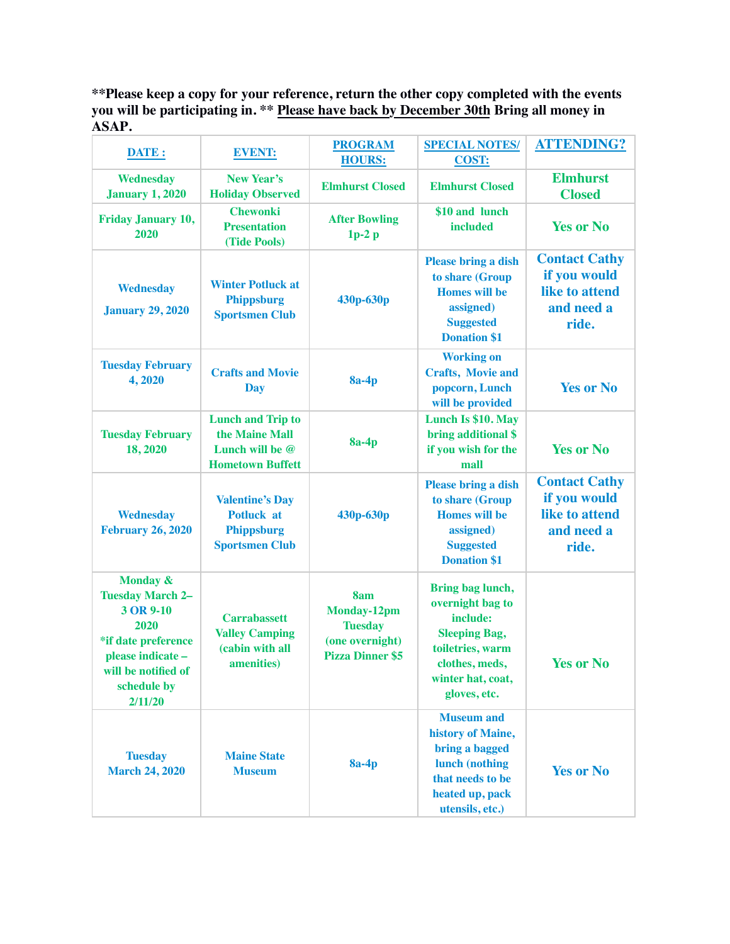**\*\*Please keep a copy for your reference, return the other copy completed with the events you will be participating in. \*\* Please have back by December 30th Bring all money in ASAP.**

| DATE:                                                                                                                                                            | <b>EVENT:</b>                                                                             | <b>PROGRAM</b>                                                                            | <b>SPECIAL NOTES/</b>                                                                                                                               | <b>ATTENDING?</b>                                                             |
|------------------------------------------------------------------------------------------------------------------------------------------------------------------|-------------------------------------------------------------------------------------------|-------------------------------------------------------------------------------------------|-----------------------------------------------------------------------------------------------------------------------------------------------------|-------------------------------------------------------------------------------|
|                                                                                                                                                                  |                                                                                           | <b>HOURS:</b>                                                                             | <b>COST:</b>                                                                                                                                        |                                                                               |
| <b>Wednesday</b><br><b>January 1, 2020</b>                                                                                                                       | New Year's<br><b>Holiday Observed</b>                                                     | <b>Elmhurst Closed</b>                                                                    | <b>Elmhurst Closed</b>                                                                                                                              | <b>Elmhurst</b><br><b>Closed</b>                                              |
| <b>Friday January 10,</b><br>2020                                                                                                                                | <b>Chewonki</b><br><b>Presentation</b><br>(Tide Pools)                                    | <b>After Bowling</b><br>$1p-2p$                                                           | \$10 and lunch<br><b>included</b>                                                                                                                   | <b>Yes or No</b>                                                              |
| Wednesday<br><b>January 29, 2020</b>                                                                                                                             | <b>Winter Potluck at</b><br><b>Phippsburg</b><br><b>Sportsmen Club</b>                    | 430p-630p                                                                                 | <b>Please bring a dish</b><br>to share (Group<br><b>Homes will be</b><br>assigned)<br><b>Suggested</b><br><b>Donation \$1</b>                       | <b>Contact Cathy</b><br>if you would<br>like to attend<br>and need a<br>ride. |
| <b>Tuesday February</b><br>4,2020                                                                                                                                | <b>Crafts and Movie</b><br>Day                                                            | <b>8a-4p</b>                                                                              | <b>Working on</b><br><b>Crafts, Movie and</b><br>popcorn, Lunch<br>will be provided                                                                 | <b>Yes or No</b>                                                              |
| <b>Tuesday February</b><br>18,2020                                                                                                                               | <b>Lunch and Trip to</b><br>the Maine Mall<br>Lunch will be @<br><b>Hometown Buffett</b>  | <b>8a-4p</b>                                                                              | Lunch Is \$10. May<br>bring additional \$<br>if you wish for the<br>mall                                                                            | <b>Yes or No</b>                                                              |
| <b>Wednesday</b><br><b>February 26, 2020</b>                                                                                                                     | <b>Valentine's Day</b><br><b>Potluck at</b><br><b>Phippsburg</b><br><b>Sportsmen Club</b> | 430p-630p                                                                                 | <b>Please bring a dish</b><br>to share (Group<br><b>Homes</b> will be<br>assigned)<br><b>Suggested</b><br><b>Donation \$1</b>                       | <b>Contact Cathy</b><br>if you would<br>like to attend<br>and need a<br>ride. |
| <b>Monday &amp;</b><br><b>Tuesday March 2-</b><br>3 OR 9-10<br>2020<br>*if date preference<br>please indicate -<br>will be notified of<br>schedule by<br>2/11/20 | <b>Carrabassett</b><br><b>Valley Camping</b><br>(cabin with all<br>amenities)             | 8am<br><b>Monday-12pm</b><br><b>Tuesday</b><br>(one overnight)<br><b>Pizza Dinner \$5</b> | Bring bag lunch,<br>overnight bag to<br>include:<br><b>Sleeping Bag,</b><br>toiletries, warm<br>clothes, meds,<br>winter hat, coat,<br>gloves, etc. | <b>Yes or No</b>                                                              |
| <b>Tuesday</b><br><b>March 24, 2020</b>                                                                                                                          | <b>Maine State</b><br><b>Museum</b>                                                       | $8a-4p$                                                                                   | <b>Museum and</b><br>history of Maine,<br>bring a bagged<br>lunch (nothing<br>that needs to be<br>heated up, pack<br>utensils, etc.)                | <b>Yes or No</b>                                                              |